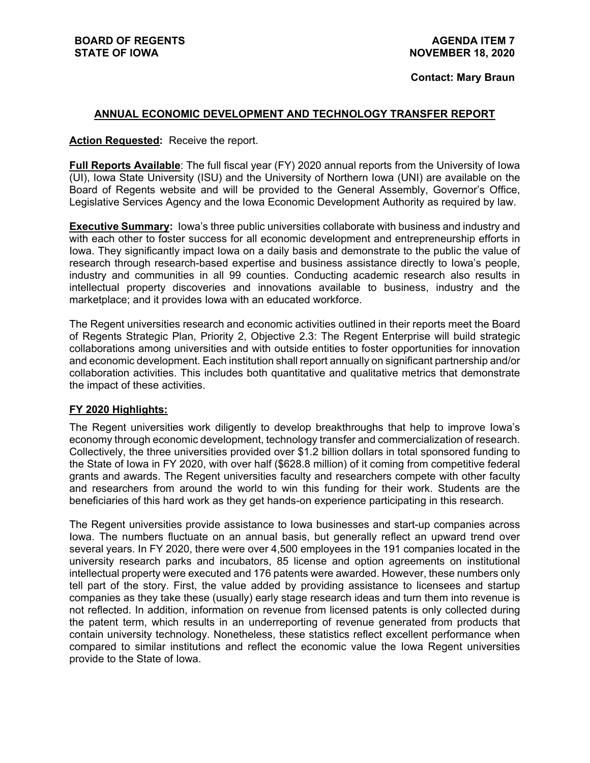#### **Contact: Mary Braun**

### **ANNUAL ECONOMIC DEVELOPMENT AND TECHNOLOGY TRANSFER REPORT**

### **Action Requested:** Receive the report.

**Full Reports Available**: The full fiscal year (FY) 2020 annual reports from the University of Iowa (UI), Iowa State University (ISU) and the University of Northern Iowa (UNI) are available on the Board of Regents website and will be provided to the General Assembly, Governor's Office, Legislative Services Agency and the Iowa Economic Development Authority as required by law.

**Executive Summary:** Iowa's three public universities collaborate with business and industry and with each other to foster success for all economic development and entrepreneurship efforts in Iowa. They significantly impact Iowa on a daily basis and demonstrate to the public the value of research through research-based expertise and business assistance directly to Iowa's people, industry and communities in all 99 counties. Conducting academic research also results in intellectual property discoveries and innovations available to business, industry and the marketplace; and it provides Iowa with an educated workforce.

The Regent universities research and economic activities outlined in their reports meet the Board of Regents Strategic Plan, Priority 2, Objective 2.3: The Regent Enterprise will build strategic collaborations among universities and with outside entities to foster opportunities for innovation and economic development. Each institution shall report annually on significant partnership and/or collaboration activities. This includes both quantitative and qualitative metrics that demonstrate the impact of these activities.

### **FY 2020 Highlights:**

The Regent universities work diligently to develop breakthroughs that help to improve Iowa's economy through economic development, technology transfer and commercialization of research. Collectively, the three universities provided over \$1.2 billion dollars in total sponsored funding to the State of Iowa in FY 2020, with over half (\$628.8 million) of it coming from competitive federal grants and awards. The Regent universities faculty and researchers compete with other faculty and researchers from around the world to win this funding for their work. Students are the beneficiaries of this hard work as they get hands-on experience participating in this research.

The Regent universities provide assistance to Iowa businesses and start-up companies across Iowa. The numbers fluctuate on an annual basis, but generally reflect an upward trend over several years. In FY 2020, there were over 4,500 employees in the 191 companies located in the university research parks and incubators, 85 license and option agreements on institutional intellectual property were executed and 176 patents were awarded. However, these numbers only tell part of the story. First, the value added by providing assistance to licensees and startup companies as they take these (usually) early stage research ideas and turn them into revenue is not reflected. In addition, information on revenue from licensed patents is only collected during the patent term, which results in an underreporting of revenue generated from products that contain university technology. Nonetheless, these statistics reflect excellent performance when compared to similar institutions and reflect the economic value the Iowa Regent universities provide to the State of Iowa.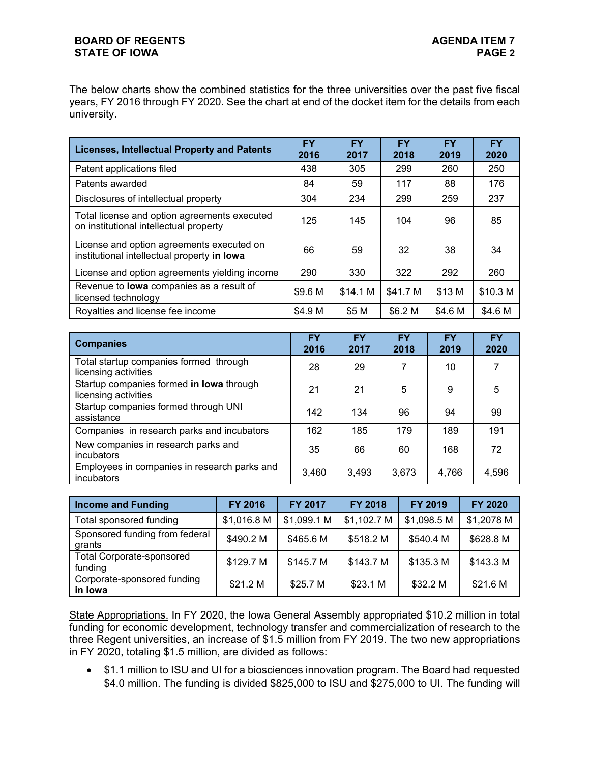### **BOARD OF REGENTS STATE OF IOWA**

The below charts show the combined statistics for the three universities over the past five fiscal years, FY 2016 through FY 2020. See the chart at end of the docket item for the details from each university.

| <b>Licenses, Intellectual Property and Patents</b>                                       | <b>FY</b><br>2016 | <b>FY</b><br>2017 | <b>FY</b><br>2018 | <b>FY</b><br>2019 | <b>FY</b><br>2020 |  |
|------------------------------------------------------------------------------------------|-------------------|-------------------|-------------------|-------------------|-------------------|--|
| Patent applications filed                                                                | 438               | 305               | 299               | 260               | 250               |  |
| Patents awarded                                                                          | 84                | 59                | 117               | 88                | 176               |  |
| Disclosures of intellectual property                                                     | 304               | 234               | 299               | 259               | 237               |  |
| Total license and option agreements executed<br>on institutional intellectual property   | 125               | 145               | 104               | 96                | 85                |  |
| License and option agreements executed on<br>institutional intellectual property in lowa | 66                | 59                | 32                | 38                | 34                |  |
| License and option agreements yielding income                                            | 290               | 330               | 322               | 292               | 260               |  |
| Revenue to lowa companies as a result of<br>licensed technology                          | \$9.6 M           | \$14.1 M          | \$41.7 M          | \$13 M            | \$10.3 M          |  |
| Royalties and license fee income                                                         | \$4.9 M           | \$5 M             | \$6.2 M           | \$4.6 M           | \$4.6 M           |  |

| <b>Companies</b>                                                 | FY<br>2016 | <b>FY</b><br>2017 | <b>FY</b><br>2018 | <b>FY</b><br>2019 | <b>FY</b><br>2020 |
|------------------------------------------------------------------|------------|-------------------|-------------------|-------------------|-------------------|
| Total startup companies formed through<br>licensing activities   | 28         | 29                |                   | 10                |                   |
| Startup companies formed in lowa through<br>licensing activities | 21         | 21                | 5                 | 9                 | 5                 |
| Startup companies formed through UNI<br>assistance               | 142        | 134               | 96                | 94                | 99                |
| Companies in research parks and incubators                       | 162        | 185               | 179               | 189               | 191               |
| New companies in research parks and<br>incubators                | 35         | 66                | 60                | 168               | 72                |
| Employees in companies in research parks and<br>incubators       | 3,460      | 3,493             | 3,673             | 4,766             | 4,596             |

| <b>Income and Funding</b>                   | <b>FY 2016</b> | <b>FY 2017</b> | <b>FY 2018</b> | <b>FY 2019</b> | <b>FY 2020</b> |
|---------------------------------------------|----------------|----------------|----------------|----------------|----------------|
| Total sponsored funding                     | \$1,016.8 M    | \$1,099.1 M    | \$1,102.7 M    | \$1,098.5 M    | \$1,2078 M     |
| Sponsored funding from federal<br>grants    | \$490.2 M      | \$465.6 M      | \$518.2 M      | \$540.4 M      | \$628.8 M      |
| <b>Total Corporate-sponsored</b><br>funding | \$129.7 M      | \$145.7 M      | \$143.7 M      | \$135.3 M      | \$143.3 M      |
| Corporate-sponsored funding<br>in Iowa      | \$21.2 M       | \$25.7 M       | \$23.1 M       | \$32.2 M       | \$21.6 M       |

State Appropriations. In FY 2020, the Iowa General Assembly appropriated \$10.2 million in total funding for economic development, technology transfer and commercialization of research to the three Regent universities, an increase of \$1.5 million from FY 2019. The two new appropriations in FY 2020, totaling \$1.5 million, are divided as follows:

• \$1.1 million to ISU and UI for a biosciences innovation program. The Board had requested \$4.0 million. The funding is divided \$825,000 to ISU and \$275,000 to UI. The funding will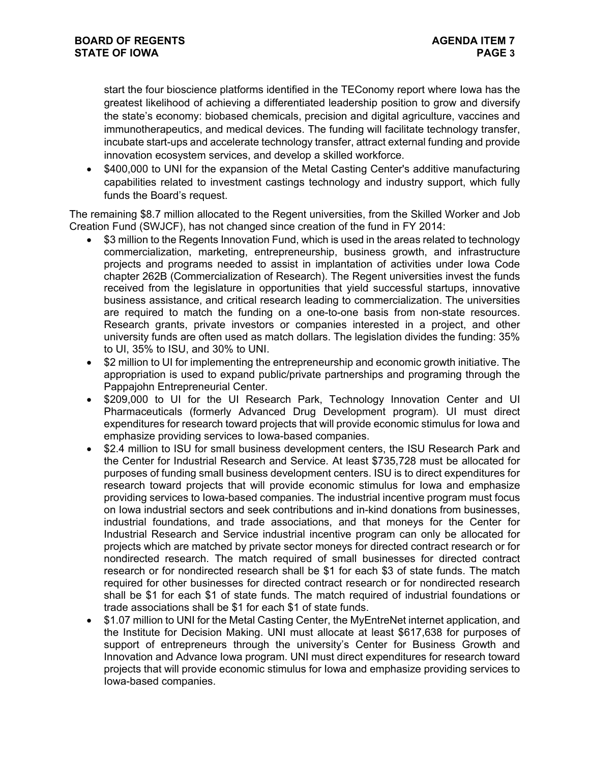start the four bioscience platforms identified in the TEConomy report where Iowa has the greatest likelihood of achieving a differentiated leadership position to grow and diversify the state's economy: biobased chemicals, precision and digital agriculture, vaccines and immunotherapeutics, and medical devices. The funding will facilitate technology transfer, incubate start-ups and accelerate technology transfer, attract external funding and provide innovation ecosystem services, and develop a skilled workforce.

• \$400,000 to UNI for the expansion of the Metal Casting Center's additive manufacturing capabilities related to investment castings technology and industry support, which fully funds the Board's request.

The remaining \$8.7 million allocated to the Regent universities, from the Skilled Worker and Job Creation Fund (SWJCF), has not changed since creation of the fund in FY 2014:

- \$3 million to the Regents Innovation Fund, which is used in the areas related to technology commercialization, marketing, entrepreneurship, business growth, and infrastructure projects and programs needed to assist in implantation of activities under Iowa Code chapter 262B (Commercialization of Research). The Regent universities invest the funds received from the legislature in opportunities that yield successful startups, innovative business assistance, and critical research leading to commercialization. The universities are required to match the funding on a one-to-one basis from non-state resources. Research grants, private investors or companies interested in a project, and other university funds are often used as match dollars. The legislation divides the funding: 35% to UI, 35% to ISU, and 30% to UNI.
- \$2 million to UI for implementing the entrepreneurship and economic growth initiative. The appropriation is used to expand public/private partnerships and programing through the Pappajohn Entrepreneurial Center.
- \$209,000 to UI for the UI Research Park, Technology Innovation Center and UI Pharmaceuticals (formerly Advanced Drug Development program). UI must direct expenditures for research toward projects that will provide economic stimulus for Iowa and emphasize providing services to Iowa-based companies.
- \$2.4 million to ISU for small business development centers, the ISU Research Park and the Center for Industrial Research and Service. At least \$735,728 must be allocated for purposes of funding small business development centers. ISU is to direct expenditures for research toward projects that will provide economic stimulus for Iowa and emphasize providing services to Iowa-based companies. The industrial incentive program must focus on Iowa industrial sectors and seek contributions and in-kind donations from businesses, industrial foundations, and trade associations, and that moneys for the Center for Industrial Research and Service industrial incentive program can only be allocated for projects which are matched by private sector moneys for directed contract research or for nondirected research. The match required of small businesses for directed contract research or for nondirected research shall be \$1 for each \$3 of state funds. The match required for other businesses for directed contract research or for nondirected research shall be \$1 for each \$1 of state funds. The match required of industrial foundations or trade associations shall be \$1 for each \$1 of state funds.
- \$1.07 million to UNI for the Metal Casting Center, the MyEntreNet internet application, and the Institute for Decision Making. UNI must allocate at least \$617,638 for purposes of support of entrepreneurs through the university's Center for Business Growth and Innovation and Advance Iowa program. UNI must direct expenditures for research toward projects that will provide economic stimulus for Iowa and emphasize providing services to Iowa-based companies.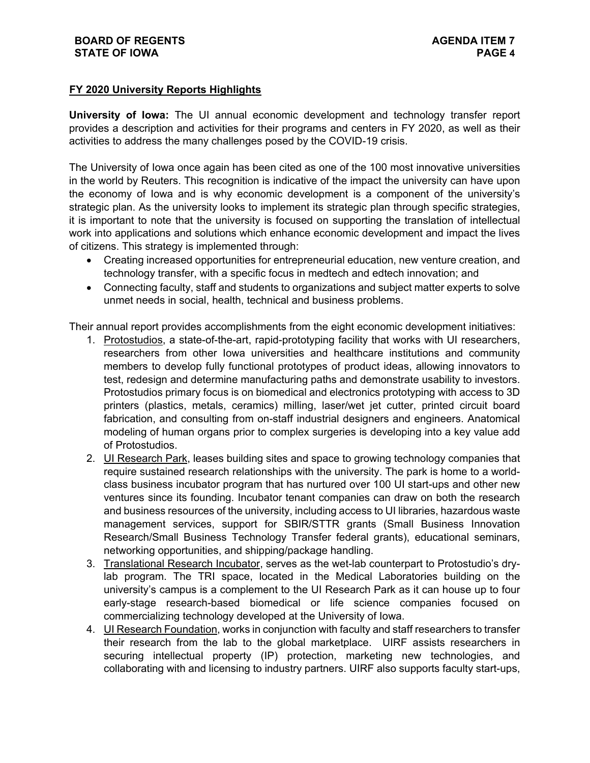# **FY 2020 University Reports Highlights**

**University of Iowa:** The UI annual economic development and technology transfer report provides a description and activities for their programs and centers in FY 2020, as well as their activities to address the many challenges posed by the COVID-19 crisis.

The University of Iowa once again has been cited as one of the 100 most innovative universities in the world by Reuters. This recognition is indicative of the impact the university can have upon the economy of Iowa and is why economic development is a component of the university's strategic plan. As the university looks to implement its strategic plan through specific strategies, it is important to note that the university is focused on supporting the translation of intellectual work into applications and solutions which enhance economic development and impact the lives of citizens. This strategy is implemented through:

- Creating increased opportunities for entrepreneurial education, new venture creation, and technology transfer, with a specific focus in medtech and edtech innovation; and
- Connecting faculty, staff and students to organizations and subject matter experts to solve unmet needs in social, health, technical and business problems.

Their annual report provides accomplishments from the eight economic development initiatives:

- 1. Protostudios, a state-of-the-art, rapid-prototyping facility that works with UI researchers, researchers from other Iowa universities and healthcare institutions and community members to develop fully functional prototypes of product ideas, allowing innovators to test, redesign and determine manufacturing paths and demonstrate usability to investors. Protostudios primary focus is on biomedical and electronics prototyping with access to 3D printers (plastics, metals, ceramics) milling, laser/wet jet cutter, printed circuit board fabrication, and consulting from on-staff industrial designers and engineers. Anatomical modeling of human organs prior to complex surgeries is developing into a key value add of Protostudios.
- 2. UI Research Park, leases building sites and space to growing technology companies that require sustained research relationships with the university. The park is home to a worldclass business incubator program that has nurtured over 100 UI start-ups and other new ventures since its founding. Incubator tenant companies can draw on both the research and business resources of the university, including access to UI libraries, hazardous waste management services, support for SBIR/STTR grants (Small Business Innovation Research/Small Business Technology Transfer federal grants), educational seminars, networking opportunities, and shipping/package handling.
- 3. Translational Research Incubator, serves as the wet-lab counterpart to Protostudio's drylab program. The TRI space, located in the Medical Laboratories building on the university's campus is a complement to the UI Research Park as it can house up to four early-stage research-based biomedical or life science companies focused on commercializing technology developed at the University of Iowa.
- 4. UI Research Foundation, works in conjunction with faculty and staff researchers to transfer their research from the lab to the global marketplace. UIRF assists researchers in securing intellectual property (IP) protection, marketing new technologies, and collaborating with and licensing to industry partners. UIRF also supports faculty start-ups,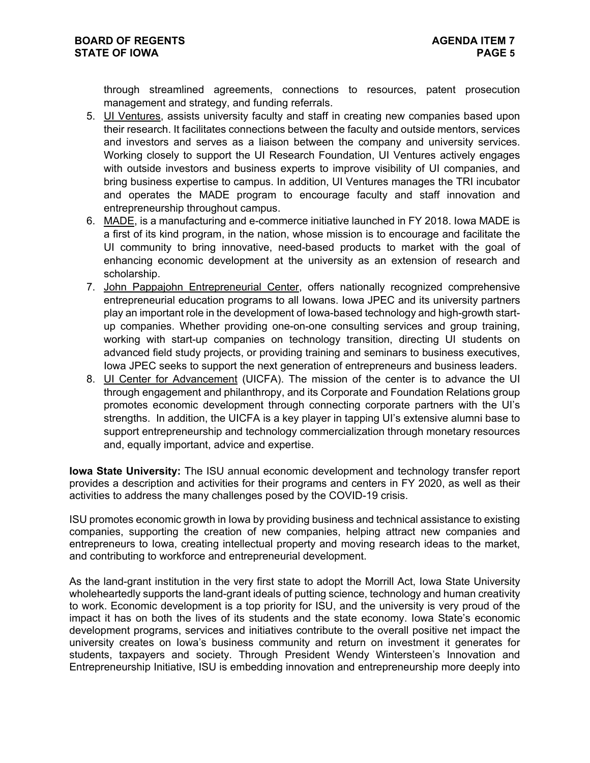through streamlined agreements, connections to resources, patent prosecution management and strategy, and funding referrals.

- 5. UI Ventures, assists university faculty and staff in creating new companies based upon their research. It facilitates connections between the faculty and outside mentors, services and investors and serves as a liaison between the company and university services. Working closely to support the UI Research Foundation, UI Ventures actively engages with outside investors and business experts to improve visibility of UI companies, and bring business expertise to campus. In addition, UI Ventures manages the TRI incubator and operates the MADE program to encourage faculty and staff innovation and entrepreneurship throughout campus.
- 6. MADE, is a manufacturing and e-commerce initiative launched in FY 2018. Iowa MADE is a first of its kind program, in the nation, whose mission is to encourage and facilitate the UI community to bring innovative, need-based products to market with the goal of enhancing economic development at the university as an extension of research and scholarship.
- 7. John Pappajohn Entrepreneurial Center, offers nationally recognized comprehensive entrepreneurial education programs to all Iowans. Iowa JPEC and its university partners play an important role in the development of Iowa-based technology and high-growth startup companies. Whether providing one-on-one consulting services and group training, working with start-up companies on technology transition, directing UI students on advanced field study projects, or providing training and seminars to business executives, Iowa JPEC seeks to support the next generation of entrepreneurs and business leaders.
- 8. UI Center for Advancement (UICFA). The mission of the center is to advance the UI through engagement and philanthropy, and its Corporate and Foundation Relations group promotes economic development through connecting corporate partners with the UI's strengths. In addition, the UICFA is a key player in tapping UI's extensive alumni base to support entrepreneurship and technology commercialization through monetary resources and, equally important, advice and expertise.

**Iowa State University:** The ISU annual economic development and technology transfer report provides a description and activities for their programs and centers in FY 2020, as well as their activities to address the many challenges posed by the COVID-19 crisis.

ISU promotes economic growth in Iowa by providing business and technical assistance to existing companies, supporting the creation of new companies, helping attract new companies and entrepreneurs to Iowa, creating intellectual property and moving research ideas to the market, and contributing to workforce and entrepreneurial development.

As the land-grant institution in the very first state to adopt the Morrill Act, Iowa State University wholeheartedly supports the land-grant ideals of putting science, technology and human creativity to work. Economic development is a top priority for ISU, and the university is very proud of the impact it has on both the lives of its students and the state economy. Iowa State's economic development programs, services and initiatives contribute to the overall positive net impact the university creates on Iowa's business community and return on investment it generates for students, taxpayers and society. Through President Wendy Wintersteen's Innovation and Entrepreneurship Initiative, ISU is embedding innovation and entrepreneurship more deeply into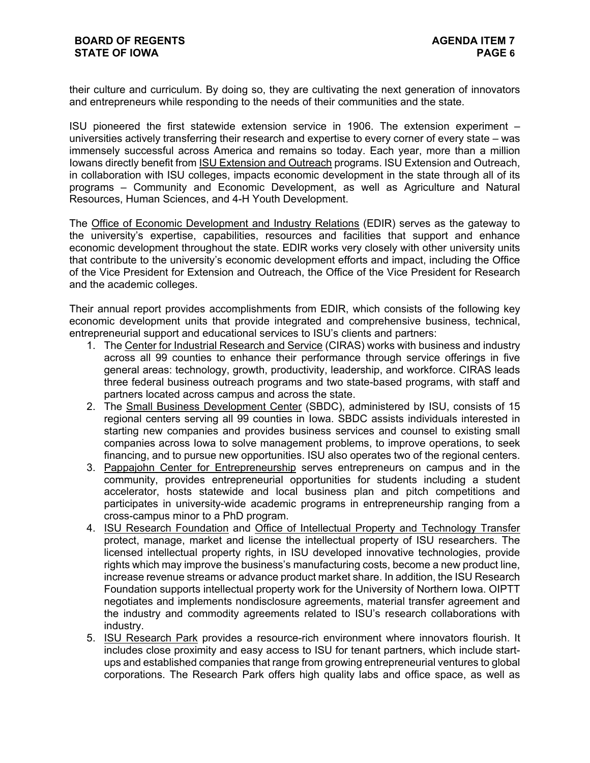their culture and curriculum. By doing so, they are cultivating the next generation of innovators and entrepreneurs while responding to the needs of their communities and the state.

ISU pioneered the first statewide extension service in 1906. The extension experiment – universities actively transferring their research and expertise to every corner of every state – was immensely successful across America and remains so today. Each year, more than a million Iowans directly benefit from ISU Extension and Outreach programs. ISU Extension and Outreach, in collaboration with ISU colleges, impacts economic development in the state through all of its programs – Community and Economic Development, as well as Agriculture and Natural Resources, Human Sciences, and 4-H Youth Development.

The Office of Economic Development and Industry Relations (EDIR) serves as the gateway to the university's expertise, capabilities, resources and facilities that support and enhance economic development throughout the state. EDIR works very closely with other university units that contribute to the university's economic development efforts and impact, including the Office of the Vice President for Extension and Outreach, the Office of the Vice President for Research and the academic colleges.

Their annual report provides accomplishments from EDIR, which consists of the following key economic development units that provide integrated and comprehensive business, technical, entrepreneurial support and educational services to ISU's clients and partners:

- 1. The Center for Industrial Research and Service (CIRAS) works with business and industry across all 99 counties to enhance their performance through service offerings in five general areas: technology, growth, productivity, leadership, and workforce. CIRAS leads three federal business outreach programs and two state-based programs, with staff and partners located across campus and across the state.
- 2. The Small Business Development Center (SBDC), administered by ISU, consists of 15 regional centers serving all 99 counties in Iowa. SBDC assists individuals interested in starting new companies and provides business services and counsel to existing small companies across Iowa to solve management problems, to improve operations, to seek financing, and to pursue new opportunities. ISU also operates two of the regional centers.
- 3. Pappajohn Center for Entrepreneurship serves entrepreneurs on campus and in the community, provides entrepreneurial opportunities for students including a student accelerator, hosts statewide and local business plan and pitch competitions and participates in university-wide academic programs in entrepreneurship ranging from a cross-campus minor to a PhD program.
- 4. ISU Research Foundation and Office of Intellectual Property and Technology Transfer protect, manage, market and license the intellectual property of ISU researchers. The licensed intellectual property rights, in ISU developed innovative technologies, provide rights which may improve the business's manufacturing costs, become a new product line, increase revenue streams or advance product market share. In addition, the ISU Research Foundation supports intellectual property work for the University of Northern Iowa. OIPTT negotiates and implements nondisclosure agreements, material transfer agreement and the industry and commodity agreements related to ISU's research collaborations with industry.
- 5. ISU Research Park provides a resource-rich environment where innovators flourish. It includes close proximity and easy access to ISU for tenant partners, which include startups and established companies that range from growing entrepreneurial ventures to global corporations. The Research Park offers high quality labs and office space, as well as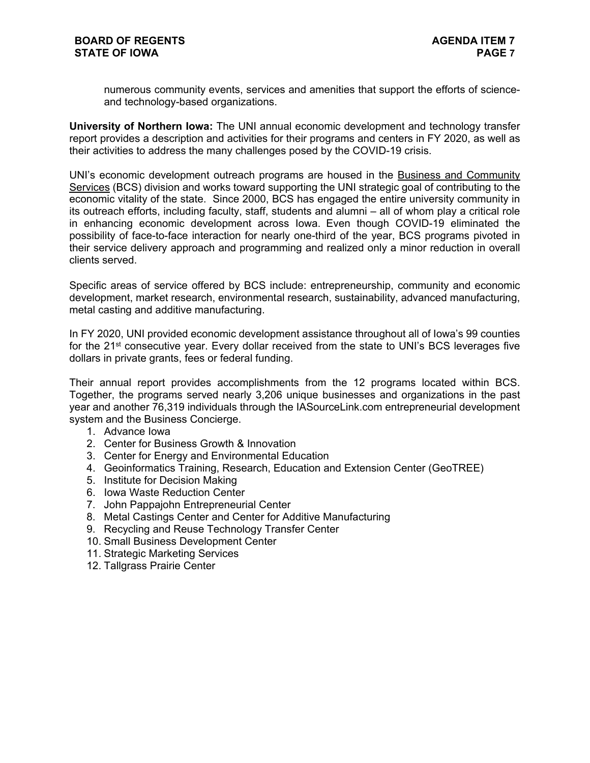numerous community events, services and amenities that support the efforts of scienceand technology-based organizations.

**University of Northern Iowa:** The UNI annual economic development and technology transfer report provides a description and activities for their programs and centers in FY 2020, as well as their activities to address the many challenges posed by the COVID-19 crisis.

UNI's economic development outreach programs are housed in the Business and Community Services (BCS) division and works toward supporting the UNI strategic goal of contributing to the economic vitality of the state. Since 2000, BCS has engaged the entire university community in its outreach efforts, including faculty, staff, students and alumni – all of whom play a critical role in enhancing economic development across Iowa. Even though COVID-19 eliminated the possibility of face-to-face interaction for nearly one-third of the year, BCS programs pivoted in their service delivery approach and programming and realized only a minor reduction in overall clients served.

Specific areas of service offered by BCS include: entrepreneurship, community and economic development, market research, environmental research, sustainability, advanced manufacturing, metal casting and additive manufacturing.

In FY 2020, UNI provided economic development assistance throughout all of Iowa's 99 counties for the 21<sup>st</sup> consecutive year. Every dollar received from the state to UNI's BCS leverages five dollars in private grants, fees or federal funding.

Their annual report provides accomplishments from the 12 programs located within BCS. Together, the programs served nearly 3,206 unique businesses and organizations in the past year and another 76,319 individuals through the IASourceLink.com entrepreneurial development system and the Business Concierge.

- 1. Advance Iowa
- 2. Center for Business Growth & Innovation
- 3. Center for Energy and Environmental Education
- 4. Geoinformatics Training, Research, Education and Extension Center (GeoTREE)
- 5. Institute for Decision Making
- 6. Iowa Waste Reduction Center
- 7. John Pappajohn Entrepreneurial Center
- 8. Metal Castings Center and Center for Additive Manufacturing
- 9. Recycling and Reuse Technology Transfer Center
- 10. Small Business Development Center
- 11. Strategic Marketing Services
- 12. Tallgrass Prairie Center